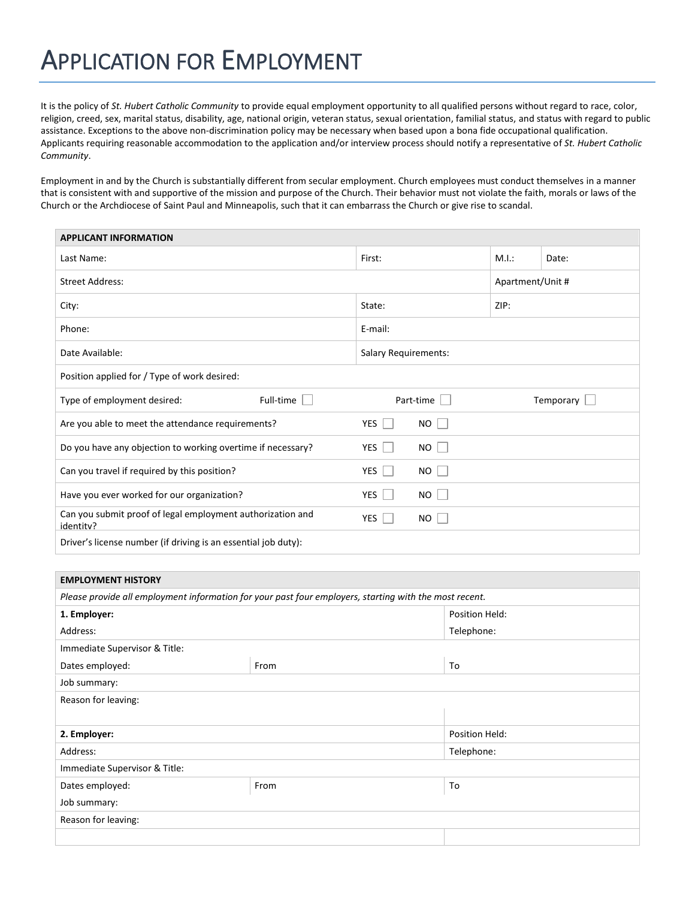## APPLICATION FOR EMPLOYMENT

It is the policy of *St. Hubert Catholic Community* to provide equal employment opportunity to all qualified persons without regard to race, color, religion, creed, sex, marital status, disability, age, national origin, veteran status, sexual orientation, familial status, and status with regard to public assistance. Exceptions to the above non-discrimination policy may be necessary when based upon a bona fide occupational qualification. Applicants requiring reasonable accommodation to the application and/or interview process should notify a representative of *St. Hubert Catholic Community*.

Employment in and by the Church is substantially different from secular employment. Church employees must conduct themselves in a manner that is consistent with and supportive of the mission and purpose of the Church. Their behavior must not violate the faith, morals or laws of the Church or the Archdiocese of Saint Paul and Minneapolis, such that it can embarrass the Church or give rise to scandal.

| <b>APPLICANT INFORMATION</b>                                            |                             |                  |
|-------------------------------------------------------------------------|-----------------------------|------------------|
| Last Name:                                                              | First:                      | M.I.:<br>Date:   |
| <b>Street Address:</b>                                                  |                             | Apartment/Unit # |
| City:                                                                   | State:                      | ZIP:             |
| Phone:                                                                  | E-mail:                     |                  |
| Date Available:                                                         | <b>Salary Requirements:</b> |                  |
| Position applied for / Type of work desired:                            |                             |                  |
| Full-time<br>Type of employment desired:                                | Part-time                   | Temporary $\Box$ |
| Are you able to meet the attendance requirements?                       | YES  <br>NO                 |                  |
| Do you have any objection to working overtime if necessary?             | YES<br><b>NO</b>            |                  |
| Can you travel if required by this position?                            | YES<br>NO                   |                  |
|                                                                         |                             |                  |
| Have you ever worked for our organization?                              | YES  <br>NO.                |                  |
| Can you submit proof of legal employment authorization and<br>identitv? | YES<br>NO                   |                  |

| <b>EMPLOYMENT HISTORY</b>                                                                              |      |                |  |  |
|--------------------------------------------------------------------------------------------------------|------|----------------|--|--|
| Please provide all employment information for your past four employers, starting with the most recent. |      |                |  |  |
| 1. Employer:                                                                                           |      | Position Held: |  |  |
| Address:                                                                                               |      |                |  |  |
| Immediate Supervisor & Title:                                                                          |      |                |  |  |
| Dates employed:                                                                                        | From | To             |  |  |
| Job summary:                                                                                           |      |                |  |  |
| Reason for leaving:                                                                                    |      |                |  |  |
|                                                                                                        |      |                |  |  |
| 2. Employer:                                                                                           |      | Position Held: |  |  |
| Address:                                                                                               |      | Telephone:     |  |  |
| Immediate Supervisor & Title:                                                                          |      |                |  |  |
| Dates employed:                                                                                        | From | To             |  |  |
| Job summary:                                                                                           |      |                |  |  |
| Reason for leaving:                                                                                    |      |                |  |  |
|                                                                                                        |      |                |  |  |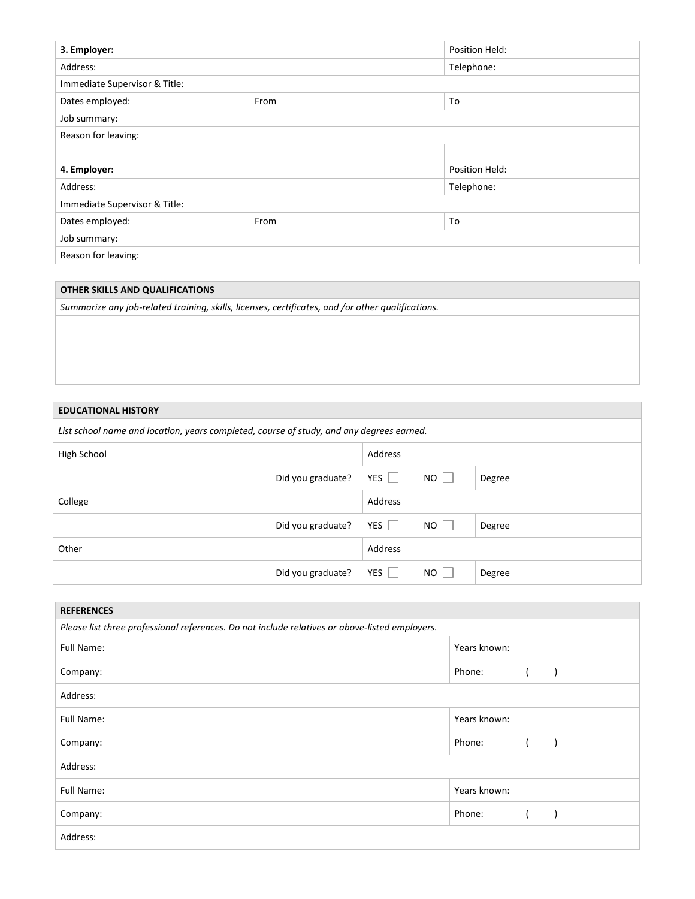| 3. Employer:                  |      | Position Held: |  |
|-------------------------------|------|----------------|--|
| Address:                      |      | Telephone:     |  |
| Immediate Supervisor & Title: |      |                |  |
| Dates employed:               | From | To             |  |
| Job summary:                  |      |                |  |
| Reason for leaving:           |      |                |  |
|                               |      |                |  |
| 4. Employer:                  |      | Position Held: |  |
| Address:                      |      | Telephone:     |  |
| Immediate Supervisor & Title: |      |                |  |
| Dates employed:               | From | To             |  |
| Job summary:                  |      |                |  |
| Reason for leaving:           |      |                |  |

| OTHER SKILLS AND QUALIFICATIONS                                                                   |  |  |
|---------------------------------------------------------------------------------------------------|--|--|
| Summarize any job-related training, skills, licenses, certificates, and /or other qualifications. |  |  |
|                                                                                                   |  |  |
|                                                                                                   |  |  |
|                                                                                                   |  |  |
|                                                                                                   |  |  |

## **EDUCATIONAL HISTORY**

| List school name and location, years completed, course of study, and any degrees earned. |                   |         |          |        |
|------------------------------------------------------------------------------------------|-------------------|---------|----------|--------|
| High School                                                                              |                   | Address |          |        |
|                                                                                          | Did you graduate? | $YES$   | $NO$ $ $ | Degree |
| College                                                                                  |                   | Address |          |        |
|                                                                                          | Did you graduate? | YES     | NO.      | Degree |
| Other                                                                                    |                   | Address |          |        |
|                                                                                          | Did you graduate? | YES     | NO.      | Degree |

| <b>REFERENCES</b>                                                                              |              |  |  |
|------------------------------------------------------------------------------------------------|--------------|--|--|
| Please list three professional references. Do not include relatives or above-listed employers. |              |  |  |
| Full Name:                                                                                     | Years known: |  |  |
| Company:                                                                                       | Phone:       |  |  |
| Address:                                                                                       |              |  |  |
| Full Name:                                                                                     | Years known: |  |  |
| Company:                                                                                       | Phone:       |  |  |
| Address:                                                                                       |              |  |  |
| Full Name:                                                                                     | Years known: |  |  |
| Company:                                                                                       | Phone:       |  |  |
| Address:                                                                                       |              |  |  |